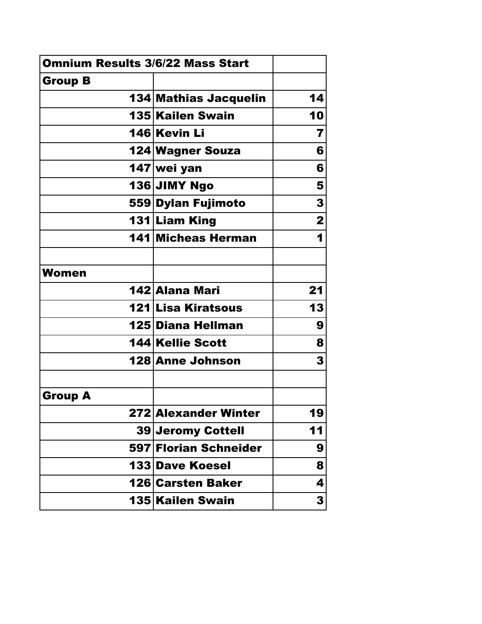|                | <b>Omnium Results 3/6/22 Mass Start</b> |                |
|----------------|-----------------------------------------|----------------|
| <b>Group B</b> |                                         |                |
|                | 134 Mathias Jacquelin                   | 14             |
|                | 135 Kailen Swain                        | 10             |
|                | 146 Kevin Li                            | 7              |
|                | 124 Wagner Souza                        | 6              |
|                | 147 wei yan                             | 6              |
|                | 136 JIMY Ngo                            | 5              |
|                | 559 Dylan Fujimoto                      | 3              |
|                | 131 Liam King                           | $\overline{2}$ |
|                | 141 Micheas Herman                      | 1              |
|                |                                         |                |
| Women          |                                         |                |
|                | 142 Alana Mari                          | 21             |
|                | 121 Lisa Kiratsous                      | 13             |
|                | 125 Diana Hellman                       | 9              |
|                | <b>144 Kellie Scott</b>                 | 8              |
|                | 128 Anne Johnson                        | 3              |
|                |                                         |                |
| <b>Group A</b> |                                         |                |
|                | 272 Alexander Winter                    | 19             |
|                | 39 Jeromy Cottell                       | 11             |
|                | 597 Florian Schneider                   | 9              |
|                | <b>133 Dave Koesel</b>                  | 8              |
|                | <b>126 Carsten Baker</b>                | 4              |
|                | 135 Kailen Swain                        | 3              |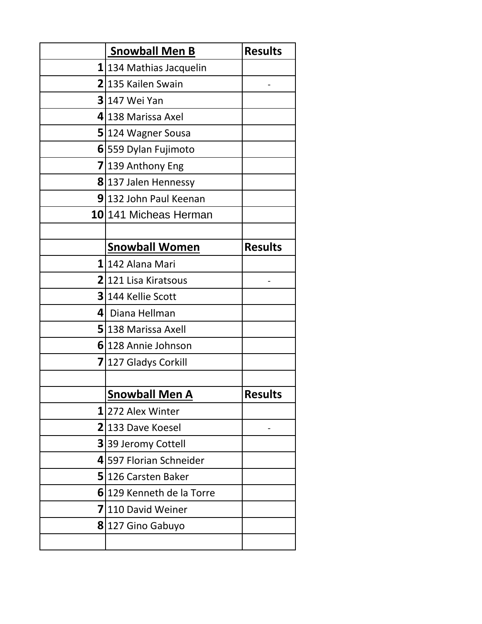|                          | <b>Snowball Men B</b>     | <b>Results</b> |
|--------------------------|---------------------------|----------------|
|                          | 1 134 Mathias Jacquelin   |                |
|                          | 2 135 Kailen Swain        |                |
|                          | $3$  147 Wei Yan          |                |
|                          | 4 138 Marissa Axel        |                |
|                          | 5 124 Wagner Sousa        |                |
|                          | 6 559 Dylan Fujimoto      |                |
|                          | 7 139 Anthony Eng         |                |
|                          | 8 137 Jalen Hennessy      |                |
|                          | 9132 John Paul Keenan     |                |
|                          | 10 141 Micheas Herman     |                |
|                          |                           |                |
|                          | <b>Snowball Women</b>     | <b>Results</b> |
|                          | $1$  142 Alana Mari       |                |
|                          | 2 121 Lisa Kiratsous      |                |
|                          | 3 144 Kellie Scott        |                |
| $\vert \mathbf{a} \vert$ | Diana Hellman             |                |
|                          | 5 138 Marissa Axell       |                |
|                          | 6 128 Annie Johnson       |                |
|                          | 7 127 Gladys Corkill      |                |
|                          |                           |                |
|                          | <u>Snowball Men A</u>     | <b>Results</b> |
|                          | $1$  272 Alex Winter      |                |
|                          | 2 133 Dave Koesel         |                |
|                          | 3 39 Jeromy Cottell       |                |
|                          | 4 597 Florian Schneider   |                |
|                          | 5 126 Carsten Baker       |                |
|                          | 6 129 Kenneth de la Torre |                |
| 7 <sup>1</sup>           | 110 David Weiner          |                |
|                          | 8 127 Gino Gabuyo         |                |
|                          |                           |                |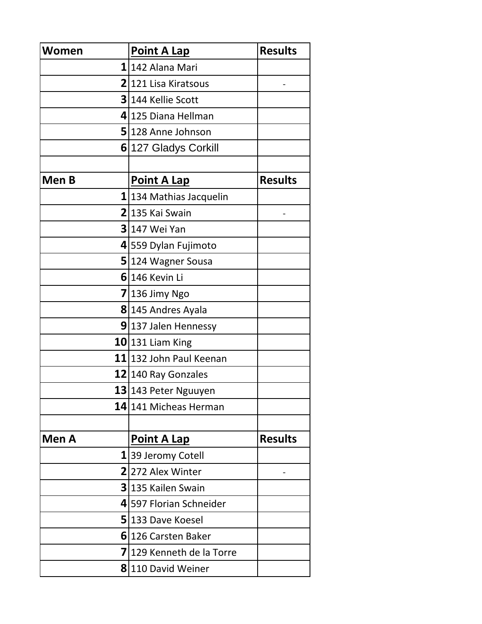| Women | Point A Lap                 | <b>Results</b> |
|-------|-----------------------------|----------------|
|       | $1$  142 Alana Mari         |                |
|       | 2121 Lisa Kiratsous         |                |
|       | 3 144 Kellie Scott          |                |
|       | 4 125 Diana Hellman         |                |
|       | 5 128 Anne Johnson          |                |
|       | 6 127 Gladys Corkill        |                |
|       |                             |                |
| Men B | <b>Point A Lap</b>          | <b>Results</b> |
|       | $1$   134 Mathias Jacquelin |                |
|       | $2$  135 Kai Swain          |                |
|       | 3 147 Wei Yan               |                |
|       | 4 559 Dylan Fujimoto        |                |
|       | 5 124 Wagner Sousa          |                |
|       | $6 146$ Kevin Li            |                |
|       | $7 136$ Jimy Ngo            |                |
|       | 8 145 Andres Ayala          |                |
|       | 9 137 Jalen Hennessy        |                |
|       | $10$  131 Liam King         |                |
|       | 11 132 John Paul Keenan     |                |
|       | 12 140 Ray Gonzales         |                |
|       | 13 143 Peter Nguuyen        |                |
|       | 14 141 Micheas Herman       |                |
|       |                             |                |
| Men A | <b>Point A Lap</b>          | <b>Results</b> |
|       | 1 39 Jeromy Cotell          |                |
|       | 2272 Alex Winter            |                |
|       | 3 135 Kailen Swain          |                |
|       | 4 597 Florian Schneider     |                |
|       | 5 133 Dave Koesel           |                |
|       | 6126 Carsten Baker          |                |
|       | 7 129 Kenneth de la Torre   |                |
|       | 8 110 David Weiner          |                |